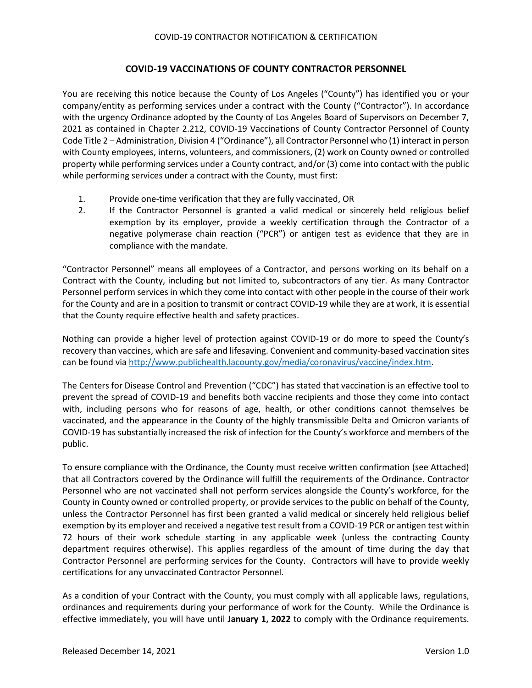## **COVID-19 VACCINATIONS OF COUNTY CONTRACTOR PERSONNEL**

You are receiving this notice because the County of Los Angeles ("County") has identified you or your company/entity as performing services under a contract with the County ("Contractor"). In accordance with the urgency Ordinance adopted by the County of Los Angeles Board of Supervisors on December 7, 2021 as contained in Chapter 2.212, COVID-19 Vaccinations of County Contractor Personnel of County Code Title 2 – Administration, Division 4 ("Ordinance"), all Contractor Personnel who (1) interact in person with County employees, interns, volunteers, and commissioners, (2) work on County owned or controlled property while performing services under a County contract, and/or (3) come into contact with the public while performing services under a contract with the County, must first:

- 1. Provide one-time verification that they are fully vaccinated, OR
- 2. If the Contractor Personnel is granted a valid medical or sincerely held religious belief exemption by its employer, provide a weekly certification through the Contractor of a negative polymerase chain reaction ("PCR") or antigen test as evidence that they are in compliance with the mandate.

"Contractor Personnel" means all employees of a Contractor, and persons working on its behalf on a Contract with the County, including but not limited to, subcontractors of any tier. As many Contractor Personnel perform services in which they come into contact with other people in the course of their work for the County and are in a position to transmit or contract COVID-19 while they are at work, it is essential that the County require effective health and safety practices.

Nothing can provide a higher level of protection against COVID-19 or do more to speed the County's recovery than vaccines, which are safe and lifesaving. Convenient and community-based vaccination sites can be found via [http://www.publichealth.lacounty.gov/media/coronavirus/vaccine/index.htm.](http://www.publichealth.lacounty.gov/media/coronavirus/vaccine/index.htm)

The Centers for Disease Control and Prevention ("CDC") has stated that vaccination is an effective tool to prevent the spread of COVID-19 and benefits both vaccine recipients and those they come into contact with, including persons who for reasons of age, health, or other conditions cannot themselves be vaccinated, and the appearance in the County of the highly transmissible Delta and Omicron variants of COVID-19 has substantially increased the risk of infection for the County's workforce and members of the public.

To ensure compliance with the Ordinance, the County must receive written confirmation (see Attached) that all Contractors covered by the Ordinance will fulfill the requirements of the Ordinance. Contractor Personnel who are not vaccinated shall not perform services alongside the County's workforce, for the County in County owned or controlled property, or provide services to the public on behalf of the County, unless the Contractor Personnel has first been granted a valid medical or sincerely held religious belief exemption by its employer and received a negative test result from a COVID-19 PCR or antigen test within 72 hours of their work schedule starting in any applicable week (unless the contracting County department requires otherwise). This applies regardless of the amount of time during the day that Contractor Personnel are performing services for the County. Contractors will have to provide weekly certifications for any unvaccinated Contractor Personnel.

As a condition of your Contract with the County, you must comply with all applicable laws, regulations, ordinances and requirements during your performance of work for the County. While the Ordinance is effective immediately, you will have until **January 1, 2022** to comply with the Ordinance requirements.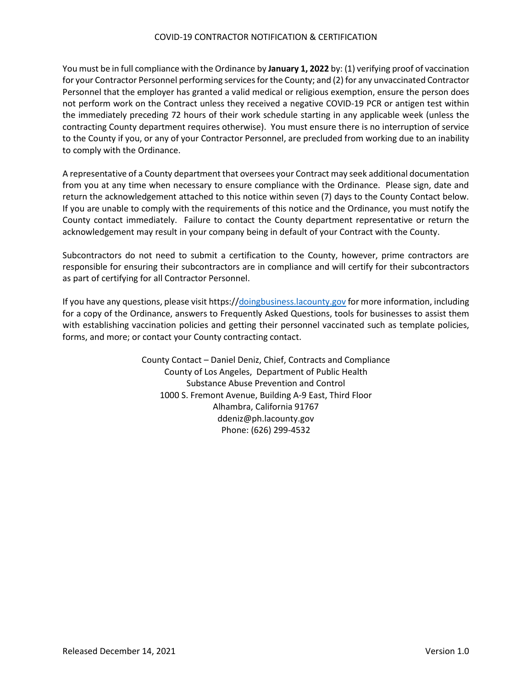## COVID-19 CONTRACTOR NOTIFICATION & CERTIFICATION

You must be in full compliance with the Ordinance by **January 1, 2022** by: (1) verifying proof of vaccination for your Contractor Personnel performing services for the County; and (2) for any unvaccinated Contractor Personnel that the employer has granted a valid medical or religious exemption, ensure the person does not perform work on the Contract unless they received a negative COVID-19 PCR or antigen test within the immediately preceding 72 hours of their work schedule starting in any applicable week (unless the contracting County department requires otherwise). You must ensure there is no interruption of service to the County if you, or any of your Contractor Personnel, are precluded from working due to an inability to comply with the Ordinance.

A representative of a County department that oversees your Contract may seek additional documentation from you at any time when necessary to ensure compliance with the Ordinance. Please sign, date and return the acknowledgement attached to this notice within seven (7) days to the County Contact below. If you are unable to comply with the requirements of this notice and the Ordinance, you must notify the County contact immediately. Failure to contact the County department representative or return the acknowledgement may result in your company being in default of your Contract with the County.

Subcontractors do not need to submit a certification to the County, however, prime contractors are responsible for ensuring their subcontractors are in compliance and will certify for their subcontractors as part of certifying for all Contractor Personnel.

If you have any questions, please visi[t https://doingbusiness.lacounty.gov](https://doingbusiness.lacounty.gov/) for more information, including for a copy of the Ordinance, answers to Frequently Asked Questions, tools for businesses to assist them with establishing vaccination policies and getting their personnel vaccinated such as template policies, forms, and more; or contact your County contracting contact.

> County Contact – Daniel Deniz, Chief, Contracts and Compliance County of Los Angeles, Department of Public Health Substance Abuse Prevention and Control 1000 S. Fremont Avenue, Building A-9 East, Third Floor Alhambra, California 91767 ddeniz@ph.lacounty.gov Phone: (626) 299-4532